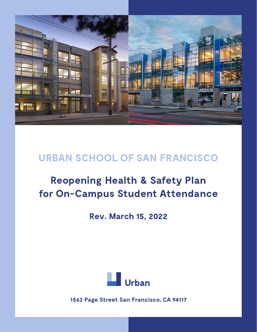

## **URBAN SCHOOL OF SAN FRANCISCO**

# **Reopening Health & Safety Plan for On-Campus Student Attendance**

**Rev. March 15, 2022**



**1563 Page Street San Francisco, CA 94117**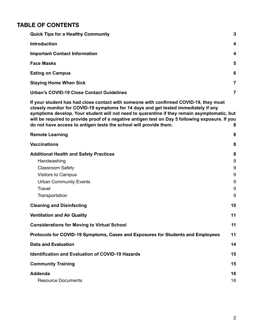### **TABLE OF CONTENTS**

| <b>Quick Tips for a Healthy Community</b>                                                                                                                                                                                                                                                                                                                                                                                                                 | 3                                   |  |
|-----------------------------------------------------------------------------------------------------------------------------------------------------------------------------------------------------------------------------------------------------------------------------------------------------------------------------------------------------------------------------------------------------------------------------------------------------------|-------------------------------------|--|
| <b>Introduction</b>                                                                                                                                                                                                                                                                                                                                                                                                                                       | 4                                   |  |
| <b>Important Contact Information</b>                                                                                                                                                                                                                                                                                                                                                                                                                      | 4                                   |  |
| <b>Face Masks</b>                                                                                                                                                                                                                                                                                                                                                                                                                                         | 5                                   |  |
| <b>Eating on Campus</b>                                                                                                                                                                                                                                                                                                                                                                                                                                   | 6                                   |  |
| <b>Staying Home When Sick</b>                                                                                                                                                                                                                                                                                                                                                                                                                             | 7                                   |  |
| <b>Urban's COVID-19 Close Contact Guidelines</b>                                                                                                                                                                                                                                                                                                                                                                                                          | 7                                   |  |
| If your student has had close contact with someone with confirmed COVID-19, they must<br>closely monitor for COVID-19 symptoms for 14 days and get tested immediately if any<br>symptoms develop. Your student will not need to quarantine if they remain asymptomatic, but<br>will be required to provide proof of a negative antigen test on Day 5 following exposure. If you<br>do not have access to antigen tests the school will provide them.<br>8 |                                     |  |
| <b>Remote Learning</b>                                                                                                                                                                                                                                                                                                                                                                                                                                    | 8                                   |  |
| <b>Vaccinations</b>                                                                                                                                                                                                                                                                                                                                                                                                                                       | 8                                   |  |
| <b>Additional Health and Safety Practices</b><br>Handwashing<br><b>Classroom Safety</b><br>Visitors to Campus<br><b>Urban Community Events</b><br><b>Travel</b><br>Transportation                                                                                                                                                                                                                                                                         | 8<br>8<br>9<br>$9\,$<br>9<br>9<br>9 |  |
| <b>Cleaning and Disinfecting</b>                                                                                                                                                                                                                                                                                                                                                                                                                          | 10                                  |  |
| <b>Ventilation and Air Quality</b>                                                                                                                                                                                                                                                                                                                                                                                                                        | 11                                  |  |
| <b>Considerations for Moving to Virtual School</b>                                                                                                                                                                                                                                                                                                                                                                                                        | 11                                  |  |
| Protocols for COVID-19 Symptoms, Cases and Exposures for Students and Employees                                                                                                                                                                                                                                                                                                                                                                           | 11                                  |  |
| <b>Data and Evaluation</b>                                                                                                                                                                                                                                                                                                                                                                                                                                | 14                                  |  |
| <b>Identification and Evaluation of COVID-19 Hazards</b>                                                                                                                                                                                                                                                                                                                                                                                                  | 15                                  |  |
| <b>Community Training</b>                                                                                                                                                                                                                                                                                                                                                                                                                                 | 15                                  |  |
| <b>Addenda</b><br><b>Resource Documents</b>                                                                                                                                                                                                                                                                                                                                                                                                               | 16<br>16                            |  |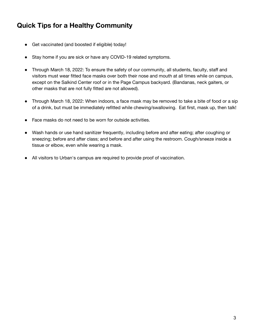### <span id="page-2-0"></span>**Quick Tips for a Healthy Community**

- Get vaccinated (and boosted if eligible) today!
- Stay home if you are sick or have any COVID-19 related symptoms.
- Through March 18, 2022: To ensure the safety of our community, all students, faculty, staff and visitors must wear fitted face masks over both their nose and mouth at all times while on campus, except on the Salkind Center roof or in the Page Campus backyard. (Bandanas, neck gaiters, or other masks that are not fully fitted are not allowed).
- Through March 18, 2022: When indoors, a face mask may be removed to take a bite of food or a sip of a drink, but must be immediately refitted while chewing/swallowing. Eat first, mask up, then talk!
- Face masks do not need to be worn for outside activities.
- Wash hands or use hand sanitizer frequently, including before and after eating; after coughing or sneezing; before and after class; and before and after using the restroom. Cough/sneeze inside a tissue or elbow, even while wearing a mask.
- All visitors to Urban's campus are required to provide proof of vaccination.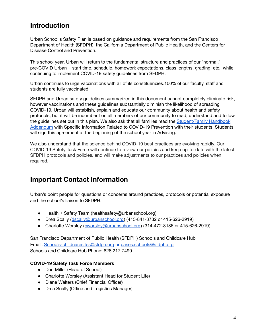### <span id="page-3-0"></span>**Introduction**

Urban School's Safety Plan is based on guidance and requirements from the San Francisco Department of Health (SFDPH), the California Department of Public Health, and the Centers for Disease Control and Prevention.

This school year, Urban will return to the fundamental structure and practices of our "normal," pre-COVID Urban – start time, schedule, homework expectations, class lengths, grading, etc., while continuing to implement COVID-19 safety guidelines from SFDPH.

Urban continues to urge vaccinations with all of its constituencies.100% of our faculty, staff and students are fully vaccinated.

SFDPH and Urban safety guidelines summarized in this document cannot completely eliminate risk, however vaccinations and these guidelines substantially diminish the likelihood of spreading COVID-19. Urban will establish, explain and educate our community about health and safety protocols, but it will be incumbent on all members of our community to read, understand and follow the guidelines set out in this plan. We also ask that all families read the [Student/Family](https://www.urbanschool.org/uploaded/documents/HandbookAddendum2021-22_Rev1.pdf) Handbook [Addendum](https://www.urbanschool.org/uploaded/documents/HandbookAddendum2021-22_Rev1.pdf) with Specific Information Related to COVID-19 Prevention with their students. Students will sign this agreement at the beginning of the school year in Advising.

We also understand that the science behind COVID-19 best practices are evolving rapidly. Our COVID-19 Safety Task Force will continue to review our policies and keep up-to-date with the latest SFDPH protocols and policies, and will make adjustments to our practices and policies when required.

### <span id="page-3-1"></span>**Important Contact Information**

Urban's point people for questions or concerns around practices, protocols or potential exposure and the school's liaison to SFDPH:

- Health + Safety Team (healthsafety@urbanschool.org)
- Drea Scally ([dscally@urbanschool.org\)](mailto:dscally@urbanschool.org) (415-841-3732 or 415-626-2919)
- Charlotte Worsley ([cworsley@urbanschool.org\)](mailto:cworsley@urbanschool.org) (314-472-8186 or 415-626-2919)

San Francisco Department of Public Health (SFDPH) Schools and Childcare Hub Email: [Schools-childcaresites@sfdph.org](mailto:Schools-childcaresites@sfdph.org) or [cases.schools@sfdph.org](mailto:cases.schools@sfdph.org) Schools and Childcare Hub Phone: 628 217 7499

#### **COVID-19 Safety Task Force Members**

- Dan Miller (Head of School)
- Charlotte Worsley (Assistant Head for Student Life)
- Diane Walters (Chief Financial Officer)
- Drea Scally (Office and Logistics Manager)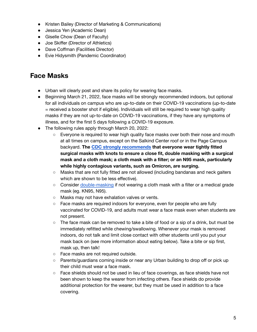- Kristen Bailey (Director of Marketing & Communications)
- Jessica Yen (Academic Dean)
- Giselle Chow (Dean of Faculty)
- Joe Skiffer (Director of Athletics)
- Dave Coffman (Facilities Director)
- Evie Hidysmith (Pandemic Coordinator)

### <span id="page-4-0"></span>**Face Masks**

- Urban will clearly post and share its policy for wearing face masks.
- Beginning March 21, 2022, face masks will be strongly recommended indoors, but optional for all individuals on campus who are up-to-date on their COVID-19 vaccinations (up-to-date = received a booster shot if eligible). Individuals will still be required to wear high quality masks if they are not up-to-date on COVID-19 vaccinations, if they have any symptoms of illness, and for the first 5 days following a COVID-19 exposure.
- The following rules apply through March 20, 2022:
	- Everyone is required to wear high quality face masks over both their nose and mouth at all times on campus, except on the Salkind Center roof or in the Page Campus backyard. **The CDC strongly [recommends](https://www.cdc.gov/coronavirus/2019-ncov/your-health/effective-masks.html) that everyone wear tightly fitted surgical masks with knots to ensure a close fit, double masking with a surgical mask and a cloth mask; a cloth mask with a filter; or an N95 mask, particularly while highly contagious variants, such as Omicron, are surging.**
	- Masks that are not fully fitted are not allowed (including bandanas and neck gaiters which are shown to be less effective).
	- Consider [double-masking](https://www.sfdph.org/dph/files/ig/FAQ-double-masking.pdf) if not wearing a cloth mask with a filter or a medical grade mask (eg. KN95, N95).
	- Masks may not have exhalation valves or vents.
	- Face masks are required indoors for everyone, even for people who are fully vaccinated for COVID-19, and adults must wear a face mask even when students are not present.
	- $\circ$  The face mask can be removed to take a bite of food or a sip of a drink, but must be immediately refitted while chewing/swallowing. Whenever your mask is removed indoors, do not talk and limit close contact with other students until you put your mask back on (see more information about eating below). Take a bite or sip first, mask up, then talk!
	- Face masks are not required outside.
	- Parents/guardians coming inside or near any Urban building to drop off or pick up their child must wear a face mask.
	- Face shields should not be used in lieu of face coverings, as face shields have not been shown to keep the wearer from infecting others. Face shields do provide additional protection for the wearer, but they must be used in addition to a face covering.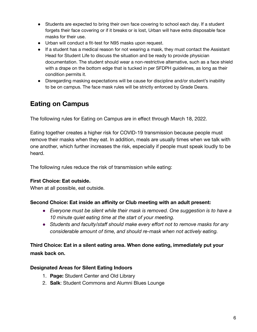- Students are expected to bring their own face covering to school each day. If a student forgets their face covering or if it breaks or is lost, Urban will have extra disposable face masks for their use.
- Urban will conduct a fit-test for N95 masks upon request.
- If a student has a medical reason for not wearing a mask, they must contact the Assistant Head for Student Life to discuss the situation and be ready to provide physician documentation. The student should wear a non-restrictive alternative, such as a face shield with a drape on the bottom edge that is tucked in per SFDPH guidelines, as long as their condition permits it.
- Disregarding masking expectations will be cause for discipline and/or student's inability to be on campus. The face mask rules will be strictly enforced by Grade Deans.

### <span id="page-5-0"></span>**Eating on Campus**

The following rules for Eating on Campus are in effect through March 18, 2022.

Eating together creates a higher risk for COVID-19 transmission because people must remove their masks when they eat. In addition, meals are usually times when we talk with one another, which further increases the risk, especially if people must speak loudly to be heard.

The following rules reduce the risk of transmission while eating:

#### **First Choice: Eat outside.**

When at all possible, eat outside.

#### **Second Choice: Eat inside an affinity or Club meeting with an adult present:**

- *Everyone must be silent while their mask is removed. One suggestion is to have a 10 minute quiet eating time at the start of your meeting.*
- *Students and faculty/staff should make every effort not to remove masks for any considerable amount of time, and should re-mask when not actively eating.*

#### **Third Choice: Eat in a silent eating area. When done eating, immediately put your mask back on.**

#### **Designated Areas for Silent Eating Indoors**

- 1. **Page:** Student Center and Old Library
- 2. **Salk**: Student Commons and Alumni Blues Lounge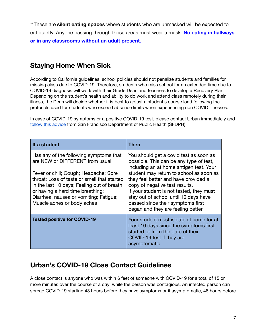\*\*These are **silent eating spaces** where students who are unmasked will be expected to eat quietly. Anyone passing through those areas must wear a mask. **No eating in hallways or in any classrooms without an adult present.**

### <span id="page-6-0"></span>**Staying Home When Sick**

According to California guidelines, school policies should not penalize students and families for missing class due to COVID-19. Therefore, students who miss school for an extended time due to COVID-19 diagnosis will work with their Grade Dean and teachers to develop a Recovery Plan. Depending on the student's health and ability to do work and attend class remotely during their illness, the Dean will decide whether it is best to adjust a student's course load following the protocols used for students who exceed absence limits when experiencing non COVID illnesses.

In case of COVID-19 symptoms or a positive COVID-19 test, please contact Urban immediately and follow this [advice](https://www.sfdph.org/dph/files/ig/Parent-Guardian-Health-Check-Handout.pdf) from San Francisco Department of Public Health (SFDPH):

| If a student                                                                                                                                                                                                                                                                                                                 | Then                                                                                                                                                                                                                                                                                                                                                                                                              |
|------------------------------------------------------------------------------------------------------------------------------------------------------------------------------------------------------------------------------------------------------------------------------------------------------------------------------|-------------------------------------------------------------------------------------------------------------------------------------------------------------------------------------------------------------------------------------------------------------------------------------------------------------------------------------------------------------------------------------------------------------------|
| Has any of the following symptoms that<br>are NEW or DIFFERENT from usual:<br>Fever or chill; Cough; Headache; Sore<br>throat; Loss of taste or smell that started<br>in the last 10 days; Feeling out of breath<br>or having a hard time breathing;<br>Diarrhea, nausea or vomiting; Fatigue;<br>Muscle aches or body aches | You should get a covid test as soon as<br>possible. This can be any type of test,<br>including an at home antigen test. Your<br>student may return to school as soon as<br>they feel better and have provided a<br>copy of negative test results.<br>If your student is not tested, they must<br>stay out of school until 10 days have<br>passed since their symptoms first<br>began and they are feeling better. |
| <b>Tested positive for COVID-19</b>                                                                                                                                                                                                                                                                                          | Your student must isolate at home for at<br>least 10 days since the symptoms first<br>started or from the date of their<br>COVID-19 test if they are<br>asymptomatic.                                                                                                                                                                                                                                             |

### <span id="page-6-1"></span>**Urban's COVID-19 Close Contact Guidelines**

A close contact is anyone who was within 6 feet of someone with COVID-19 for a total of 15 or more minutes over the course of a day, while the person was contagious. An infected person can spread COVID-19 starting 48 hours before they have symptoms or if asymptomatic, 48 hours before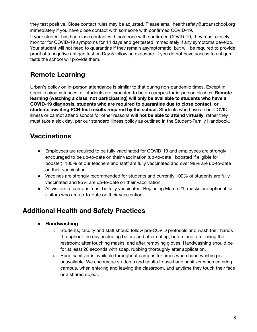they test positive. Close contact rules may be adjusted. Please email healthsafety@urbanschool.org immediately if you have close contact with someone with confirmed COVID-19. If your student has had close contact with someone with confirmed COVID-19, they must closely monitor for COVID-19 symptoms for 14 days and get tested immediately if any symptoms develop. Your student will not need to quarantine if they remain asymptomatic, but will be required to provide proof of a negative antigen test on Day 5 following exposure. If you do not have access to antigen tests the school will provide them.

### <span id="page-7-1"></span><span id="page-7-0"></span>**Remote Learning**

Urban's policy on in-person attendance is similar to that during non-pandemic times. Except in specific circumstances, all students are expected to be on campus for in-person classes. **Remote learning (watching a class, not participating) will only be available to students who have a COVID-19 diagnosis, students who are required to quarantine due to close contact, or students awaiting PCR test results required by the school.** Students who have a non-COVID illness or cannot attend school for other reasons **will not be able to attend virtually,** rather they must take a sick day, per our standard illness policy as outlined in the [Student-Family](http://email.email.urbanschool.org/c/eJxdUctuhDAM_Br2iPJyEg4cYCHqvR9QBZJ0EY-seBTt39dBPVQrRfJMbHlGY1cGqrm9DSUjjBJBBVUIIKc5KG0aY5QQDWjFIRPEz3aY8mPt7LL1jxinPK7ft0dZMJwgUhSgmQgd86Fwrus4WAdSa3abyse-PzNeZczgO8_zfQv-9uHLL3EfwgvJNCxjiOtpV5f3Yc64Sdrfx5LxhmZMpipAa4RHgoXUErFHLJWGhJ3fdqRJecsYJHFI8nAZSLX9Z-LilxHsH88pWufdRVzsj9kv-3axz_1wSIydh-n1YRfXxThieCR1G4beAMzqf_i18OnCn5PRv5JP3lIDkrGGEE1A1nfCRVWptm40BQBCcIS1ihnCTIXD9b1SRa3wMrwgTNzWcuwwCFwmyPshrvR6P7gyJfMLkRuL1Q) Handbook.

### <span id="page-7-2"></span>**Vaccinations**

- Employees are required to be fully vaccinated for COVID-19 and employees are strongly encouraged to be up-to-date on their vaccination (up-to-date= boosted if eligible for booster). 100% of our teachers and staff are fully vaccinated and over 98% are up-to-date on their vaccination.
- Vaccines are strongly recommended for students and currently 100% of students are fully vaccinated and 95% are up-to-date on their vaccination.
- All visitors to campus must be fully vaccinated. Beginning March 21, masks are optional for visitors who are up-to-date on their vaccination.

### **Additional Health and Safety Practices**

- <span id="page-7-4"></span><span id="page-7-3"></span>**● Handwashing**
	- Students, faculty and staff should follow pre-COVID protocols and wash their hands throughout the day, including before and after eating; before and after using the restroom; after touching masks; and after removing gloves. Handwashing should be for at least 20 seconds with soap, rubbing thoroughly after application.
	- Hand sanitizer is available throughout campus for times when hand washing is unavailable. We encourage students and adults to use hand sanitizer when entering campus, when entering and leaving the classroom, and anytime they touch their face or a shared object.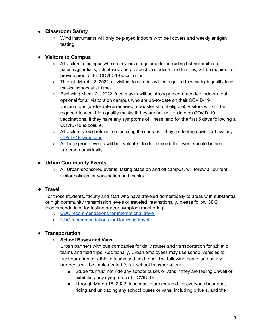#### <span id="page-8-0"></span>**● Classroom Safety**

○ Wind instruments will only be played indoors with bell covers and weekly antigen testing.

#### <span id="page-8-1"></span>**● Visitors to Campus**

- All visitors to campus who are 5 years of age or older, including but not limited to parents/guardians, volunteers, and prospective students and families, will be required to provide proof of full COVID-19 vaccination.
- Through March 18, 2022, all visitors to campus will be required to wear high quality face masks indoors at all times.
- Beginning March 21, 2022, face masks will be strongly recommended indoors, but optional for all visitors on campus who are up-to-date on their COVID-19 vaccinations (up-to-date = received a booster shot if eligible). Visitors will still be required to wear high quality masks if they are not up-to-date on COVID-19 vaccinations, if they have any symptoms of illness, and for the first 5 days following a COVID-19 exposure.
- All visitors should refrain from entering the campus if they are feeling unwell or have any [COVID-19 symptoms.](https://www.cdc.gov/coronavirus/2019-ncov/symptoms-testing/symptoms.html)
- All large group events will be evaluated to determine if the event should be held in-person or virtually.

#### <span id="page-8-2"></span>**● Urban Community Events**

○ All Urban-sponsored events, taking place on and off campus, will follow all current visitor policies for vaccination and masks.

#### <span id="page-8-3"></span>**● Travel**

For those students, faculty and staff who have traveled domestically to areas with substantial or high community transmission levels or traveled internationally, please follow CDC recommendations for testing and/or symptom monitoring:

- CDC [recommendations](https://www.cdc.gov/coronavirus/2019-ncov/travelers/international-travel-during-covid19.html) for International travel
- CDC [recommendations](https://www.cdc.gov/coronavirus/2019-ncov/travelers/travel-during-covid19.html) for Domestic travel

#### <span id="page-8-4"></span>**● Transportation**

#### **○ School Buses and Vans**

Urban partners with bus companies for daily routes and transportation for athletic teams and field trips. Additionally, Urban employees may use school vehicles for transportation for athletic teams and field trips. The following health and safety protocols will be implemented for all school transportation:

- Students must not ride any school buses or vans if they are feeling unwell or exhibiting any symptoms of COVID-19.
- Through March 18, 2022, face masks are required for everyone boarding, riding and unloading any school buses or vans, including drivers, and the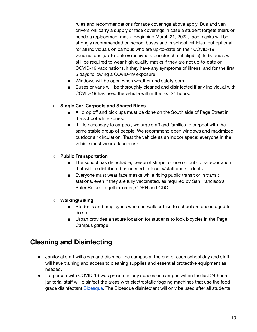rules and recommendations for face coverings above apply. Bus and van drivers will carry a supply of face coverings in case a student forgets theirs or needs a replacement mask. Beginning March 21, 2022, face masks will be strongly recommended on school buses and in school vehicles, but optional for all individuals on campus who are up-to-date on their COVID-19 vaccinations (up-to-date = received a booster shot if eligible). Individuals will still be required to wear high quality masks if they are not up-to-date on COVID-19 vaccinations, if they have any symptoms of illness, and for the first 5 days following a COVID-19 exposure.

- Windows will be open when weather and safety permit.
- Buses or vans will be thoroughly cleaned and disinfected if any individual with COVID-19 has used the vehicle within the last 24 hours.

#### **○ Single Car, Carpools and Shared Rides**

- All drop off and pick ups must be done on the South side of Page Street in the school white zones.
- If it is necessary to carpool, we urge staff and families to carpool with the same stable group of people. We recommend open windows and maximized outdoor air circulation. Treat the vehicle as an indoor space: everyone in the vehicle must wear a face mask.

#### **○ Public Transportation**

- The school has detachable, personal straps for use on public transportation that will be distributed as needed to faculty/staff and students.
- Everyone must wear face masks while riding public transit or in transit stations, even if they are fully vaccinated, as required by San Francisco's Safer Return Together order, CDPH and CDC.

#### **○ Walking/Biking**

- Students and employees who can walk or bike to school are encouraged to do so.
- Urban provides a secure location for students to lock bicycles in the Page Campus garage.

### <span id="page-9-0"></span>**Cleaning and Disinfecting**

- Janitorial staff will clean and disinfect the campus at the end of each school day and staff will have training and access to cleaning supplies and essential protective equipment as needed.
- If a person with COVID-19 was present in any spaces on campus within the last 24 hours, janitorial staff will disinfect the areas with electrostatic fogging machines that use the food grade disinfectant [Bioesque](https://bioesquesolutions.com/botanical-disinfectant-solution/). The Bioesque disinfectant will only be used after all students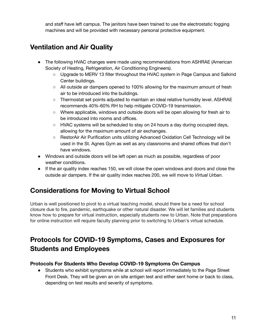and staff have left campus. The janitors have been trained to use the electrostatic fogging machines and will be provided with necessary personal protective equipment.

### <span id="page-10-0"></span>**Ventilation and Air Quality**

- The following HVAC changes were made using recommendations from ASHRAE (American Society of Heating, Refrigeration, Air Conditioning Engineers).
	- Upgrade to MERV 13 filter throughout the HVAC system in Page Campus and Salkind Center buildings.
	- $\circ$  All outside air dampers opened to 100% allowing for the maximum amount of fresh air to be introduced into the buildings.
	- Thermostat set points adjusted to maintain an ideal relative humidity level. ASHRAE recommends 40%-60% RH to help mitigate COVID-19 transmission.
	- Where applicable, windows and outside doors will be open allowing for fresh air to be introduced into rooms and offices.
	- $\circ$  HVAC systems will be scheduled to stay on 24 hours a day during occupied days, allowing for the maximum amount of air exchanges.
	- RestorAir Air Purification units utilizing Advanced Oxidation Cell Technology will be used in the St. Agnes Gym as well as any classrooms and shared offices that don't have windows.
- Windows and outside doors will be left open as much as possible, regardless of poor weather conditions.
- If the air quality index reaches 150, we will close the open windows and doors and close the outside air dampers. If the air quality index reaches 200, we will move to *Virtual Urban*.

### **Considerations for Moving to Virtual School**

<span id="page-10-1"></span>Urban is well positioned to pivot to a virtual teaching model, should there be a need for school closure due to fire, pandemic, earthquake or other natural disaster. We will let families and students know how to prepare for virtual instruction, especially students new to Urban. Note that preparations for online instruction will require faculty planning prior to switching to Urban's virtual schedule.

### <span id="page-10-2"></span>**Protocols for COVID-19 Symptoms, Cases and Exposures for Students and Employees**

#### **Protocols For Students Who Develop COVID-19 Symptoms On Campus**

● Students who exhibit symptoms while at school will report immediately to the Page Street Front Desk. They will be given an on site antigen test and either sent home or back to class, depending on test results and severity of symptoms.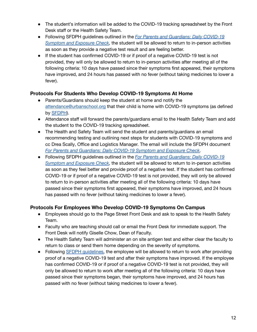- The student's information will be added to the COVID-19 tracking spreadsheet by the Front Desk staff or the Health Safety Team.
- Following SFDPH guidelines outlined in the *For Parents and [Guardians:](https://www.sfdph.org/dph/files/ig/Parent-Guardian-Health-Check-Handout.pdf) Daily COVID-19 [Symptom](https://www.sfdph.org/dph/files/ig/Parent-Guardian-Health-Check-Handout.pdf) and Exposure Check*, the student will be allowed to return to in-person activities as soon as they provide a negative test result and are feeling better.
- If the student has confirmed COVID-19 or if proof of a negative COVID-19 test is not provided, they will only be allowed to return to in-person activities after meeting all of the following criteria: 10 days have passed since their symptoms first appeared, their symptoms have improved, and 24 hours has passed with no fever (without taking medicines to lower a fever).

#### **Protocols For Students Who Develop COVID-19 Symptoms At Home**

- Parents/Guardians should keep the student at home and notify the [attendance@urbanschool.org](mailto:attendance@urbanschool.org) that their child is home with COVID-19 symptoms (as defined by [SFDPH](https://www.sfdph.org/dph/files/ig/Parent-Guardian-Health-Check-Handout.pdf)).
- Attendance staff will forward the parents/guardians email to the Health Safety Team and add the student to the COVID-19 tracking spreadsheet.
- The Health and Safety Team will send the student and parents/guardians an email recommending testing and outlining next steps for students with COVID-19 symptoms and cc Drea Scally, Office and Logistics Manager. The email will include the SFDPH document *For Parents and [Guardians:](https://www.sfdph.org/dph/files/ig/Parent-Guardian-Health-Check-Handout.pdf) Daily COVID-19 Symptom and Exposure Check*.
- Following SFDPH guidelines outlined in the *For Parents and [Guardians:](https://www.sfdph.org/dph/files/ig/Parent-Guardian-Health-Check-Handout.pdf) Daily COVID-19 [Symptom](https://www.sfdph.org/dph/files/ig/Parent-Guardian-Health-Check-Handout.pdf) and Exposure Check*, the student will be allowed to return to in-person activities as soon as they feel better and provide proof of a negative test. If the student has confirmed COVID-19 or if proof of a negative COVID-19 test is not provided, they will only be allowed to return to in-person activities after meeting all of the following criteria: 10 days have passed since their symptoms first appeared, their symptoms have improved, and 24 hours has passed with no fever (without taking medicines to lower a fever).

#### **Protocols For Employees Who Develop COVID-19 Symptoms On Campus**

- Employees should go to the Page Street Front Desk and ask to speak to the Health Safety Team.
- Faculty who are teaching should call or email the Front Desk for immediate support. The Front Desk will notify Giselle Chow, Dean of Faculty.
- The Health Safety Team will administer an on site antigen test and either clear the faculty to return to class or send them home depending on the severity of symptoms.
- Following SFDPH [guidelines,](https://www.sfdph.org/dph/COVID-19/Isolation-and-Quarantine.asp) the employee will be allowed to return to work after providing proof of a negative COVID-19 test and after their symptoms have improved. If the employee has confirmed COVID-19 or if proof of a negative COVID-19 test is not provided, they will only be allowed to return to work after meeting all of the following criteria: 10 days have passed since their symptoms began, their symptoms have improved, and 24 hours has passed with no fever (without taking medicines to lower a fever).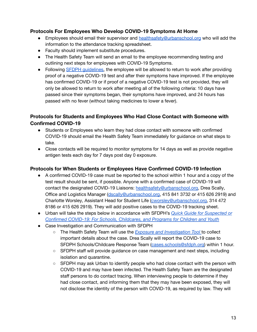#### **Protocols For Employees Who Develop COVID-19 Symptoms At Home**

- Employees should email their supervisor and [healthsafety@urbanschool.org](mailto:healthsafety@urbanschool.org) who will add the information to the attendance tracking spreadsheet.
- Faculty should implement substitute procedures.
- The Health Safety Team will send an email to the employee recommending testing and outlining next steps for employees with COVID-19 Symptoms.
- Following SFDPH [guidelines,](https://www.sfdph.org/dph/COVID-19/Isolation-and-Quarantine.asp) the employee will be allowed to return to work after providing proof of a negative COVID-19 test and after their symptoms have improved. If the employee has confirmed COVID-19 or if proof of a negative COVID-19 test is not provided, they will only be allowed to return to work after meeting all of the following criteria: 10 days have passed since their symptoms began, their symptoms have improved, and 24 hours has passed with no fever (without taking medicines to lower a fever).

#### **Protocols for Students and Employees Who Had Close Contact with Someone with Confirmed COVID-19**

- Students or Employees who learn they had close contact with someone with confirmed COVID-19 should email the Health Safety Team immediately for guidance on what steps to take.
- Close contacts will be required to monitor symptoms for 14 days as well as provide negative antigen tests each day for 7 days post day 0 exposure.

#### **Protocols for When Students or Employees Have Confirmed COVID-19 Infection**

- A confirmed COVID-19 case must be reported to the school within 1 hour and a copy of the test result should be sent, if possible. Anyone with a confirmed case of COVID-19 will contact the designated COVID-19 Liaisons: [healthsafety@urbanschool.org,](mailto:healthsafety@urbanschool.org) Drea Scally, Office and Logistics Manager ([dscally@urbanschool.org,](mailto:dscally@urbanschool.org) 415 841 3732 or 415 626 2919) and Charlotte Worsley, Assistant Head for Student Life [\(cworsley@urbanschool.org,](mailto:cworsley@urbanschool.org) 314 472 8186 or 415 626 2919). They will add positive cases to the COVID-19 tracking sheet.
- Urban will take the steps below in accordance with SFDPH's *Quick Guide for [Suspected](https://www.sfdph.org/dph/files/ig/COVID-19-QuickGuide-Suspected-Confirmed-COVID-Schools-Childcares-Programs.pdf) or Confirmed COVID-19: For Schools, [Childcares,](https://www.sfdph.org/dph/files/ig/COVID-19-QuickGuide-Suspected-Confirmed-COVID-Schools-Childcares-Programs.pdf) and Programs for Children and Youth*
- Case Investigation and Communication with SFDPH
	- The Health Safety Team will use the *Exposure and [Investigation](https://www.sfdph.org/dph/files/ig/exposure-investigation-tool.docx) Tool* to collect important details about the case. Drea Scally will report the COVID-19 case to SFDPH Schools/Childcare Response Team ([cases.schools@sfdph.org\)](mailto:cases.schools@sfdph.org) within 1 hour.
	- SFDPH staff will provide guidance on case management and next steps, including isolation and quarantine.
	- SFDPH may ask Urban to identify people who had close contact with the person with COVID-19 and may have been infected. The Health Safety Team are the designated staff persons to do contact tracing. When interviewing people to determine if they had close contact, and informing them that they may have been exposed, they will not disclose the identity of the person with COVID-19, as required by law. They will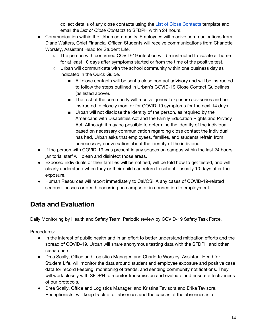collect details of any close contacts using the List of Close [Contacts](http://www.sfdph.org/dph/files/ig/TEMPLATE-School-Contact-Tracing.docx) template and email the *List of Close Contacts* to SFDPH within 24 hours.

- Communication within the Urban community. Employees will receive communications from Diane Walters, Chief Financial Officer. Students will receive communications from Charlotte Worsley, Assistant Head for Student Life.
	- The person with confirmed COVID-19 infection will be instructed to isolate at home for at least 10 days after symptoms started or from the time of the positive test.
	- Urban will communicate with the school community within one business day as indicated in the Quick Guide.
		- All close contacts will be sent a close contact advisory and will be instructed to follow the steps outlined in Urban's COVID-19 Close Contact Guidelines (as listed above).
		- The rest of the community will receive general exposure advisories and be instructed to closely monitor for COVID-19 symptoms for the next 14 days.
		- Urban will not disclose the identity of the person, as required by the Americans with Disabilities Act and the Family Education Rights and Privacy Act. Although it may be possible to determine the identity of the individual based on necessary communication regarding close contact the individual has had, Urban asks that employees, families, and students refrain from unnecessary conversation about the identity of the individual.
- If the person with COVID-19 was present in any spaces on campus within the last 24 hours, janitorial staff will clean and disinfect those areas.
- Exposed individuals or their families will be notified, will be told how to get tested, and will clearly understand when they or their child can return to school - usually 10 days after the exposure.
- Human Resources will report immediately to Cal/OSHA any cases of COVID-19-related serious illnesses or death occurring on campus or in connection to employment.

### <span id="page-13-0"></span>**Data and Evaluation**

Daily Monitoring by Health and Safety Team. Periodic review by COVID-19 Safety Task Force.

Procedures:

- In the interest of public health and in an effort to better understand mitigation efforts and the spread of COVID-19, Urban will share anonymous testing data with the SFDPH and other researchers.
- Drea Scally, Office and Logistics Manager, and Charlotte Worsley, Assistant Head for Student Life, will monitor the data around student and employee exposure and positive case data for record keeping, monitoring of trends, and sending community notifications. They will work closely with SFDPH to monitor transmission and evaluate and ensure effectiveness of our protocols.
- Drea Scally, Office and Logistics Manager, and Kristina Tavisora and Erika Tavisora, Receptionists, will keep track of all absences and the causes of the absences in a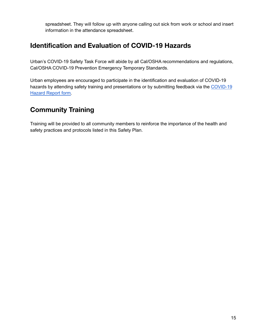spreadsheet. They will follow up with anyone calling out sick from work or school and insert information in the attendance spreadsheet.

### <span id="page-14-0"></span>**Identification and Evaluation of COVID-19 Hazards**

Urban's COVID-19 Safety Task Force will abide by all Cal/OSHA recommendations and regulations, Cal/OSHA COVID-19 Prevention Emergency Temporary Standards.

Urban employees are encouraged to participate in the identification and evaluation of COVID-19 hazards by attending safety training and presentations or by submitting feedback via the [COVID-19](https://docs.google.com/forms/d/e/1FAIpQLSfGo0HVmZ4gllDgraMogRm2VxYfmC6dkXPkTS9nEXSsKQhXfQ/viewform) [Hazard](https://docs.google.com/forms/d/e/1FAIpQLSfGo0HVmZ4gllDgraMogRm2VxYfmC6dkXPkTS9nEXSsKQhXfQ/viewform) Report form.

### <span id="page-14-1"></span>**Community Training**

Training will be provided to all community members to reinforce the importance of the health and safety practices and protocols listed in this Safety Plan.